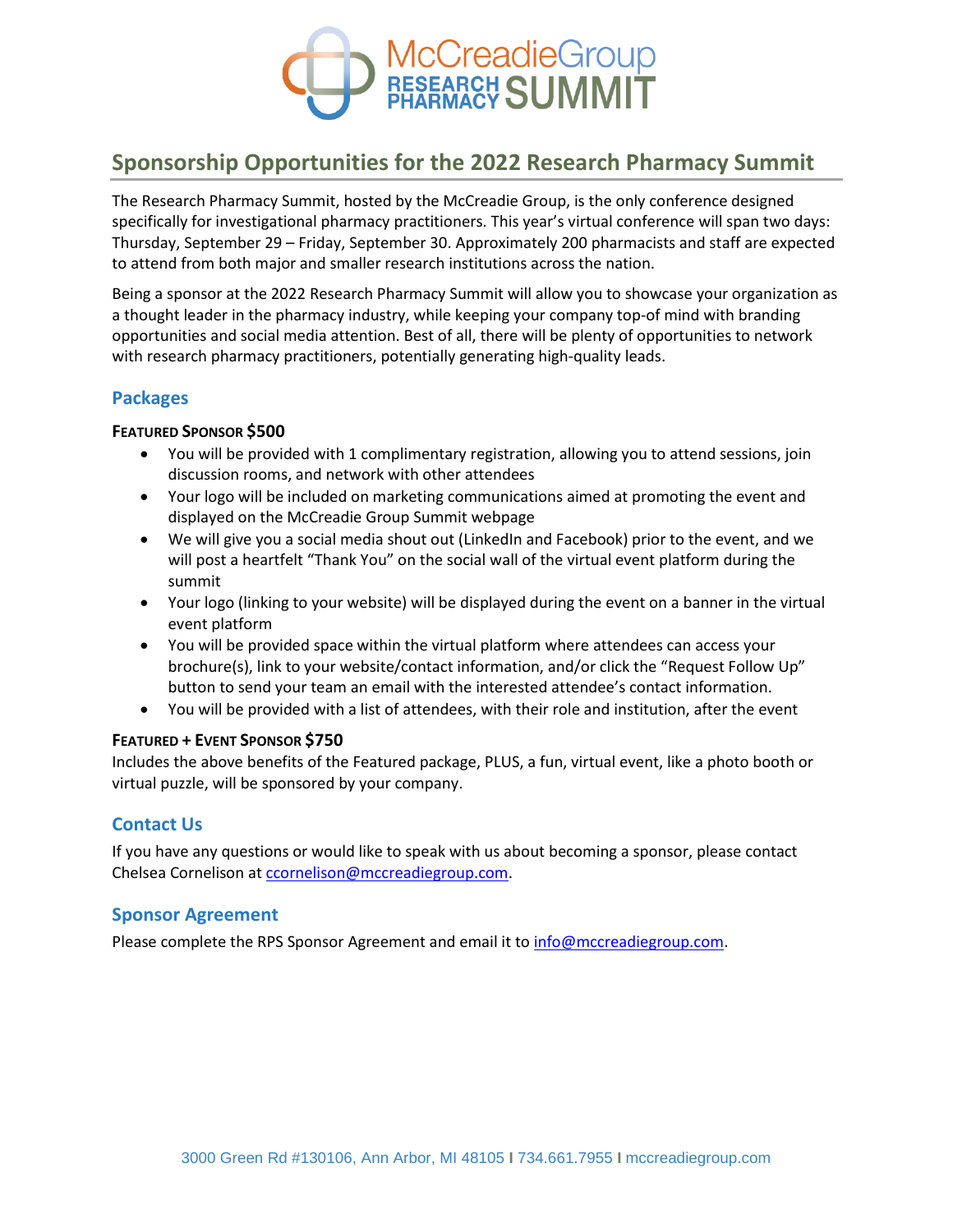

# **Sponsorship Opportunities for the 2022 Research Pharmacy Summit**

The Research Pharmacy Summit, hosted by the McCreadie Group, is the only conference designed specifically for investigational pharmacy practitioners. This year's virtual conference will span two days: Thursday, September 29 – Friday, September 30. Approximately 200 pharmacists and staff are expected to attend from both major and smaller research institutions across the nation.

Being a sponsor at the 2022 Research Pharmacy Summit will allow you to showcase your organization as a thought leader in the pharmacy industry, while keeping your company top-of mind with branding opportunities and social media attention. Best of all, there will be plenty of opportunities to network with research pharmacy practitioners, potentially generating high-quality leads.

### **Packages**

### **FEATURED SPONSOR \$500**

- You will be provided with 1 complimentary registration, allowing you to attend sessions, join discussion rooms, and network with other attendees
- Your logo will be included on marketing communications aimed at promoting the event and displayed on the McCreadie Group Summit webpage
- We will give you a social media shout out (LinkedIn and Facebook) prior to the event, and we will post a heartfelt "Thank You" on the social wall of the virtual event platform during the summit
- Your logo (linking to your website) will be displayed during the event on a banner in the virtual event platform
- You will be provided space within the virtual platform where attendees can access your brochure(s), link to your website/contact information, and/or click the "Request Follow Up" button to send your team an email with the interested attendee's contact information.
- You will be provided with a list of attendees, with their role and institution, after the event

### **FEATURED + EVENT SPONSOR \$750**

Includes the above benefits of the Featured package, PLUS, a fun, virtual event, like a photo booth or virtual puzzle, will be sponsored by your company.

### **Contact Us**

If you have any questions or would like to speak with us about becoming a sponsor, please contact Chelsea Cornelison at [ccornelison@mccreadiegroup.com.](mailto:ccornelison@mccreadiegroup.com)

### **Sponsor Agreement**

Please complete the RPS Sponsor Agreement and email it to [info@mccreadiegroup.com.](mailto:info@mccreadiegroup.com)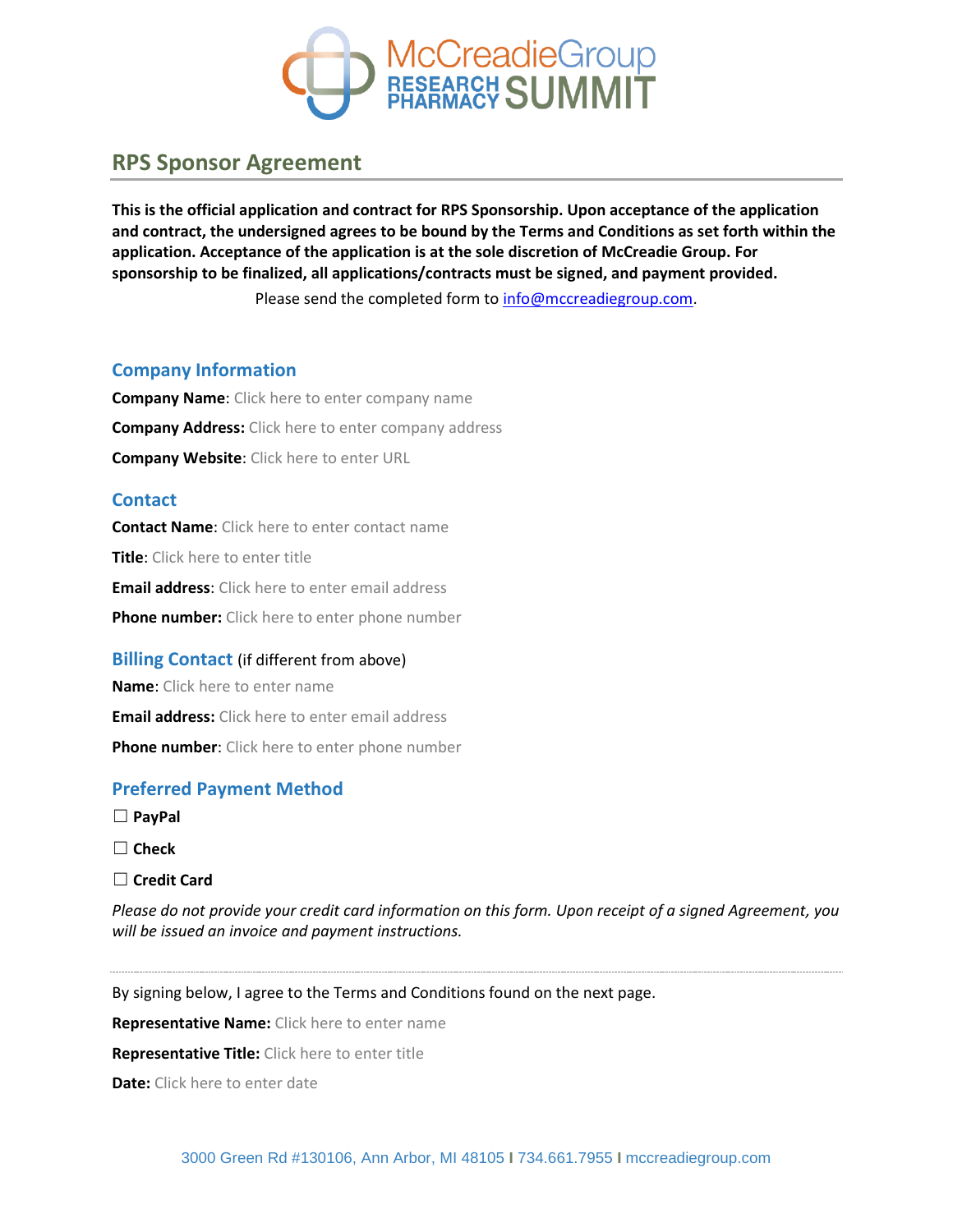

## **RPS Sponsor Agreement**

**This is the official application and contract for RPS Sponsorship. Upon acceptance of the application and contract, the undersigned agrees to be bound by the Terms and Conditions as set forth within the application. Acceptance of the application is at the sole discretion of McCreadie Group. For sponsorship to be finalized, all applications/contracts must be signed, and payment provided.**

Please send the completed form to [info@mccreadiegroup.com.](mailto:info@mccreadiegroup.com)

### **Company Information**

**Company Name**: Click here to enter company name **Company Address:** Click here to enter company address **Company Website**: Click here to enter URL

### **Contact**

**Contact Name**: Click here to enter contact name **Title**: Click here to enter title **Email address**: Click here to enter email address **Phone number:** Click here to enter phone number

### **Billing Contact** (if different from above)

**Name**: Click here to enter name **Email address:** Click here to enter email address **Phone number**: Click here to enter phone number

### **Preferred Payment Method**

- ☐ **PayPal**
- ☐ **Check**
- ☐ **Credit Card**

*Please do not provide your credit card information on this form. Upon receipt of a signed Agreement, you will be issued an invoice and payment instructions.*

By signing below, I agree to the Terms and Conditions found on the next page.

**Representative Name:** Click here to enter name

**Representative Title:** Click here to enter title

**Date:** Click here to enter date